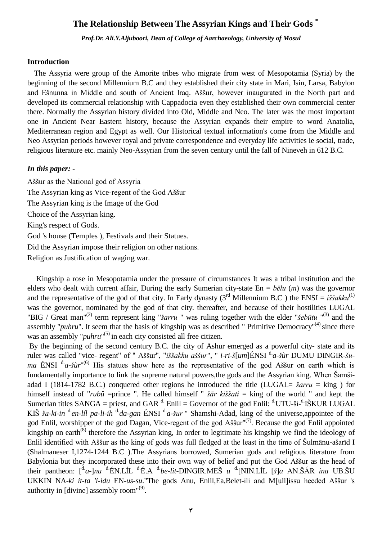# **The Relationship Between The Assyrian Kings and Their Gods \***

*Prof.Dr. Ali.Y.Aljuboori, Dean of College of Aarchaeology, University of Mosul*

### **Introduction**

The Assyria were group of the Amorite tribes who migrate from west of Mesopotamia (Syria) by the beginning of the second Millennium B.C and they established their city state in Mari, Isin, Larsa, Babylon and Ešnunna in Middle and south of Ancient Iraq. Aššur, however inaugurated in the North part and developed its commercial relationship with Cappadocia even they established their own commercial center there. Normally the Assyrian history divided into Old, Middle and Neo. The later was the most important one in Ancient Near Eastern history, because the Assyrian expands their empire to word Anatolia, Mediterranean region and Egypt as well. Our Historical textual information's come from the Middle and Neo Assyrian periods however royal and private correspondence and everyday life activities ie social, trade, religious literature etc. mainly Neo-Assyrian from the seven century until the fall of Nineveh in 612 B.C.

### *In this paper: -*

Aššur as the National god of Assyria The Assyrian king as Vice-regent of the God Aššur The Assyrian king is the Image of the God Choice of the Assyrian king. King's respect of Gods. God 's house (Temples ), Festivals and their Statues. Did the Assyrian impose their religion on other nations. Religion as Justification of waging war.

Kingship a rose in Mesopotamia under the pressure of circumstances It was a tribal institution and the elders who dealt with current affair, During the early Sumerian city-state En = *bēlu* (*m*) was the governor and the representative of the god of that city. In Early dynasty (3<sup>rd</sup> Millennium B.C ) the ENSI =  $i\check{s}\check{s}akku^{(1)}$ was the governor, nominated by the god of that city. thereafter, and because of their hostilities LUGAL "BIG / Great man"<sup>(2)</sup> term represent king "*šarru* " was ruling together with the elder "*šebūtu* "<sup>(3)</sup> and the assembly "*puhru*". It seem that the basis of kingship was as described " Primitive Democracy"<sup>(4)</sup> since there was an assembly "*puhru*"<sup>(5)</sup> in each city consisted all free citizen.

By the beginning of the second century B.C. the city of Ashur emerged as a powerful city- state and its ruler was called "vice- regent" of " Aššur", "*iššakku aššur*", " *i-ri-š*[um]ÉNSI <sup>d.</sup>a-*šùr* DUMU DINGIR-*šuma* ÉNSI<sup>d</sup> a-šùr<sup>" (6)</sup> His statues show here as the representative of the god Aššur on earth which is fundamentally importance to link the supreme natural powers,the gods and the Assyrian king. When Šamšiadad I (1814-1782 B.C.) conquered other regions he introduced the title (LUGAL= *šarru* = king ) for himself instead of "*rubû* =prince ". He called himself " *šār kiššati* = king of the world " and kept the Sumerian titles SANGA = priest, and GAR  $^d$ . Enlil = Governor of the god Enlil:  $^d$ UTU-ši- $^d$ IŠKUR LUGAL KIŠ *ša-ki-in* <sup>d</sup>en-líl pa-li-ih <sup>d.</sup>da-gan ÉNSI <sup>d.</sup>a-šur " Shamshi-Adad, king of the universe,appointee of the god Enlil, worshipper of the god Dagan, Vice-regent of the god Aššur"<sup>(7)</sup>. Because the god Enlil appointed kingship on earth<sup>(8)</sup> therefore the Assyrian king, In order to legitimate his kingship we find the ideology of Enlil identified with Aššur as the king of gods was full fledged at the least in the time of Šulmānu-ašarīd I (Shalmaneser I,1274-1244 B.C ).The Assyrians borrowed, Sumerian gods and religious literature from Babylonia but they incorporated these into their own way of belief and put the God Aššur as the head of their pantheon: [<sup>d.</sup>a-]*nu* <sup>d.</sup>ÉN.LÍL <sup>d.</sup>É.A <sup>d.</sup>be-lit-DINGIR.MEŠ *u* <sup>d.</sup>[NIN.LÍL [š]a AN.ŠÁR *ina* UB.ŠU UKKIN NA-*ki it-ta 'i-idu* EN-*us-su*."The gods Anu, Enlil,Ea,Belet-ili and M[ull]issu heeded Aššur 's authority in [divine] assembly room"<sup>(9)</sup>.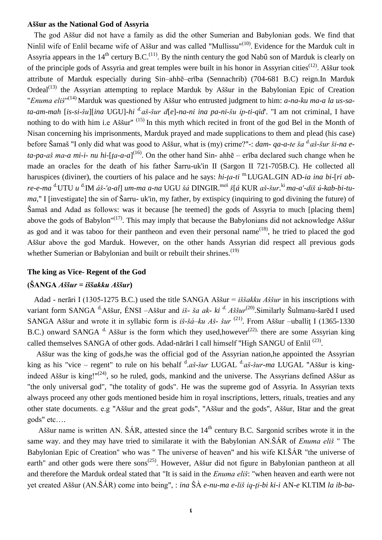### **Aššur as the National God of Assyria**

The god Aššur did not have a family as did the other Sumerian and Babylonian gods. We find that Ninlil wife of Enlil became wife of Aššur and was called "Mullissu"<sup>(10)</sup>. Evidence for the Marduk cult in Assyria appears in the  $14<sup>th</sup>$  certury B.C.<sup>(11)</sup>. By the ninth century the god Nabû son of Marduk is clearly on of the principle gods of Assyria and great temples were built in his honor in Assyrian cities(12). Aššur took attribute of Marduk especially during Sin–ahhē–erība (Sennachrib) (704-681 B.C) reign.In Marduk Ordeal<sup> $(13)$ </sup> the Assyrian attempting to replace Marduk by Aššur in the Babylonian Epic of Creation "*Enuma eliš*" (14) Marduk was questioned by Aššur who entrusted judgment to him: *a-na-ku ma-a la us-sata-am-mah* [*is-si-šu*][*ina* UGU]-*hi d.aš-šur d*[*e*]-*na-ni ina pa-ni-šu ip-ti-qid*'. "I am not criminal, I have nothing to do with him i.e Aššur"<sup>(15)</sup> In this myth which recited in front of the god Bel in the Month of Nisan concerning his imprisonments, Marduk prayed and made supplications to them and plead (his case) before Šamaš "I only did what was good to Aššur, what is (my) crime?"-: *dam- qa-a-te ša d.aš-šur ši-na eta-pa-aš ma-a mi-i- nu hi*-[*ţa-a-a*] (16). On the other hand Sin- ahhē – erība declared such change when he made an oracles for the death of his father Šarru-uk'in II (Sargon II 721-705B.C). He collected all haruspices (diviner), the courtiers of his palace and he says: *hi-ta-ti* <sup>m.</sup>LUGAL.GIN AD-*ia ina bi-*[*ri ab*re-e-ma <sup>d.</sup>UTU u <sup>d.</sup>IM áš-'a-al] um-ma a-na UGU šá DINGIR.<sup>meš</sup> š[á KUR aš-šur.<sup>ki</sup> ma-a'-diš ú-kab-bi-tu*ma*," I [investigate] the sin of Šarru- uk'in, my father, by extispicy (inquiring to god divining the future) of Šamaš and Adad as follows: was it because [he teemed] the gods of Assyria to much [placing them] above the gods of Babylon"<sup>(17)</sup>. This may imply that because the Babylonians did not acknowledge Aššur as god and it was taboo for their pantheon and even their personal name<sup> $(18)$ </sup>, he tried to placed the god Aššur above the god Marduk. However, on the other hands Assyrian did respect all previous gods whether Sumerian or Babylonian and built or rebuilt their shrines.<sup>(19)</sup>

## **The king as Vice- Regent of the God**

## **(ŠANGA** *Aššur* **=** *iššakku Aššur***)**

Adad - nerāri I (1305-1275 B.C.) used the title SANGA Aššur = *iššakku Aššur* in his inscriptions with variant form SANGA d.Aššur, ÉNSI –Aššur and *iš- ša ak- ki d. Aššur*(20) .Similarly Šulmanu-šarēd I used SANGA Aššur and wrote it in syllabic form is *iš-šá–ku Aš- šur* (21) . From Aššur –uballiţ I (1365-1330 B.C.) onward SANGA  $d$ . Aššur is the form which they used, however<sup>(22),</sup> there are some Assyrian king called themselves SANGA of other gods. Adad-nārāri I call himself "High SANGU of Enlil<sup>(23)</sup>.

Aššur was the king of gods,he was the official god of the Assyrian nation,he appointed the Assyrian king as his "vice – regent" to rule on his behalf <sup>d</sup>.*aš-šur* LUGAL <sup>d.</sup>*aš-šur-ma* LUGAL "Aššur is kingindeed Aššur is king!"<sup>(24)</sup>, so he ruled, gods, mankind and the universe. The Assyrians defined Aššur as "the only universal god", "the totality of gods". He was the supreme god of Assyria. In Assyrian texts always proceed any other gods mentioned beside him in royal inscriptions, letters, rituals, treaties and any other state documents. e.g "Aššur and the great gods", "Aššur and the gods", Aššur, Ištar and the great gods" etc….

Aššur name is written AN. ŠÁR, attested since the  $14<sup>th</sup>$  century B.C. Sargonid scribes wrote it in the same way. and they may have tried to similarate it with the Babylonian AN.ŠÁR of *Enuma eliš* " The Babylonian Epic of Creation" who was " The universe of heaven" and his wife KI.ŠÁR "the universe of earth" and other gods were there sons<sup> $(25)$ </sup>. However, Aššur did not figure in Babylonian pantheon at all and therefore the Marduk ordeal stated that "It is said in the *Enuma eliš*: "when heaven and earth were not yet created Aššur (AN.ŠÁR) come into being", : *ina* ŠÀ *e-nu-ma e-liš iq-ţi-bi ki*-*i* AN-*e* KI.TIM *la ib-ba-*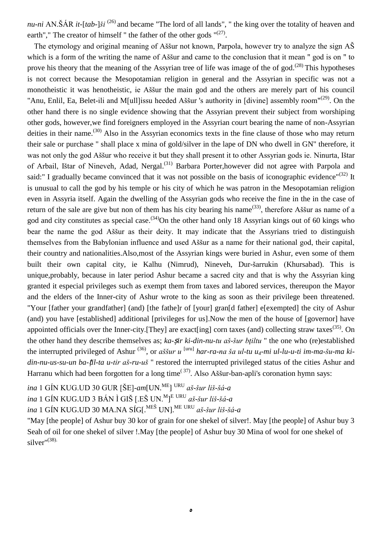*nu-ni* AN.ŠÁR *it-*[*tab-*]*ši* (26) and became "The lord of all lands", " the king over the totality of heaven and earth"," The creator of himself " the father of the other gods  $(27)$ .

The etymology and original meaning of Aššur not known, Parpola, however try to analyze the sign AŠ which is a form of the writing the name of Assur and came to the conclusion that it mean " god is on " to prove his theory that the meaning of the Assyrian tree of life was image of the of god.<sup>(28)</sup> This hypotheses is not correct because the Mesopotamian religion in general and the Assyrian in specific was not a monotheistic it was henotheistic, ie Aššur the main god and the others are merely part of his council "Anu, Enlil, Ea, Belet-ili and M[ull]issu heeded Aššur 's authority in [divine] assembly room"<sup>(29)</sup>. On the other hand there is no single evidence showing that the Assyrian prevent their subject from worshiping other gods, however,we find foreigners employed in the Assyrian court bearing the name of non-Assyrian deities in their name.<sup>(30)</sup> Also in the Assyrian economics texts in the fine clause of those who may return their sale or purchase " shall place x mina of gold/silver in the lape of DN who dwell in GN" therefore, it was not only the god Aššur who receive it but they shall present it to other Assyrian gods ie. Ninurta, Ištar of Arbail, Ištar of Nineveh, Adad, Nergal.<sup>(31)</sup> Barbara Porter,however did not agree with Parpola and said:" I gradually became convinced that it was not possible on the basis of iconographic evidence"<sup>(32)</sup> It is unusual to call the god by his temple or his city of which he was patron in the Mesopotamian religion even in Assyria itself. Again the dwelling of the Assyrian gods who receive the fine in the in the case of return of the sale are give but non of them has his city bearing his name<sup>(33)</sup>, therefore Aššur as name of a god and city constitutes as special case.<sup>(34)</sup>On the other hand only 18 Assyrian kings out of 60 kings who bear the name the god Aššur as their deity. It may indicate that the Assyrians tried to distinguish themselves from the Babylonian influence and used Aššur as a name for their national god, their capital, their country and nationalities.Also,most of the Assyrian kings were buried in Ashur, even some of them built their own capital city, ie Kalhu (Nimrud), Nineveh, Dur-šarrukin (Khursabad). This is unique,probably, because in later period Ashur became a sacred city and that is why the Assyrian king granted it especial privileges such as exempt them from taxes and labored services, thereupon the Mayor and the elders of the Inner-city of Ashur wrote to the king as soon as their privilege been threatened. "Your [father your grandfather] (and) [the fathe]r of [your] gran[d father] e[exempted] the city of Ashur (and) you have [established] additional [privileges for us].Now the men of the house of [governor] have appointed officials over the Inner-city.[They] are exact[ing] corn taxes (and) collecting straw taxes<sup>(35)</sup>. On the other hand they describe themselves as; *ka-sir ki-din-nu-tu aš-šur btiltu* " the one who (re)established the interrupted privileged of Ashur <sup>(36)</sup>, or *aššur u* <sup>[uru]</sup> *har-ra-na ša ul-tu u<sub>4</sub>-mi ul-lu-u-ti im-ma-šu-ma kidin-nu-us-su-un ba-*ṭ*il-ta u-tir aš-ru-uš* " restored the interrupted privileged status of the cities Ashur and Harranu which had been forgotten for a long time<sup> $(37)$ </sup>. Also Aššur-ban-apli's coronation hymn says:

*ina* 1 GÍN KUG.UD 30 GUR [ŠE]-*am*[UN.ME] URU *aš-šur liš-šá-a*

*ina* 1 GÍN KUG.UD 3 BÁN Ì GIŠ [.EŠ UN.<sup>M</sup> ] <sup>E</sup> URU *aš-šur liš-šá-a*

*ina* 1 GÍN KUG.UD 30 MA.NA SÍG[.MEŠ UN].ME URU *aš-šur liš-šá-a*

"May [the people] of Ashur buy 30 kor of grain for one shekel of silver!. May [the people] of Ashur buy 3 Seah of oil for one shekel of silver !.May [the people] of Ashur buy 30 Mina of wool for one shekel of silver" (38).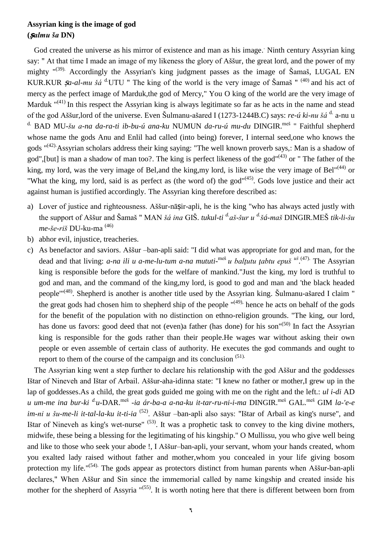# **Assyrian king is the image of god (ṣ***almu ša* **DN)**

God created the universe as his mirror of existence and man as his image. Ninth century Assyrian king say: " At that time I made an image of my likeness the glory of Aššur, the great lord, and the power of my mighty  $^{\prime\prime(39)}$ . Accordingly the Assyrian's king judgment passes as the image of Šamaš, LUGAL EN KUR.KUR  $\mathfrak{g}_a$ -al-mu šá <sup>d.</sup>UTU " The king of the world is the very image of Šamaš " <sup>(40)</sup> and his act of mercy as the perfect image of Marduk,the god of Mercy," You O king of the world are the very image of Marduk  $^{\prime\prime}(41)$  In this respect the Assyrian king is always legitimate so far as he acts in the name and stead of the god Aššur,lord of the universe. Even Šulmanu-ašared I (1273-1244B.C) says: *re-ú ki-nu šá* d. a-nu u <sup>d.</sup> BAD MU-*šu a-na da-ra-ti ib-bu-ú ana-ku* NUMUN *da-ru-ú mu-du* DINGIR.<sup>meš</sup> " Faithful shepherd whose name the gods Anu and Enlil had called (into being) forever, I internal seed,one who knows the gods "<sup>(42)</sup> Assyrian scholars address their king saying: "The well known proverb says,: Man is a shadow of god",[but] is man a shadow of man too?. The king is perfect likeness of the god"<sup>(43)</sup> or " The father of the king, my lord, was the very image of Bel,and the king,my lord, is like wise the very image of Bel"<sup>(44)</sup> or "What the king, my lord, said is as perfect as (the word of) the god"<sup>(45)</sup>. Gods love justice and their act against human is justified accordingly. The Assyrian king therefore described as:

- a) Lover of justice and righteousness. Aššur-nāsir-apli, he is the king "who has always acted justly with the support of Aššur and Šamaš " MAN *šá ina* GIŠ. *tukul*-*ti d.aš-šur u d.šá-maš* DINGIR.MEŠ *tik-li-šu me-še-riš* DU-ku-ma (46)
- b) abhor evil, injustice, treacheries.
- c) As benefactor and saviors. Aššur –ban-apli said: "I did what was appropriate for god and man, for the dead and that living: *a-na ili u a-me-lu-tum a-na mututi*-meš *u balţutu ţabtu epuš uš* . (47). The Assyrian king is responsible before the gods for the welfare of mankind."Just the king, my lord is truthful to god and man, and the command of the king,my lord, is good to god and man and 'the black headed people<sup>"(48)</sup>. Shepherd is another is another title used by the Assyrian king. Šulmanu-ašared I claim " the great gods had chosen him to shepherd ship of the people  $\mathbf{u}^{(49)}$ , hence he acts on behalf of the gods for the benefit of the population with no distinction on ethno-religion grounds. "The king, our lord, has done us favors: good deed that not (even)a father (has done) for his son"<sup>(50)</sup> In fact the Assyrian king is responsible for the gods rather than their people.He wages war without asking their own people or even assemble of certain class of authority. He executes the god commands and ought to report to them of the course of the campaign and its conclusion <sup>(51).</sup>

The Assyrian king went a step further to declare his relationship with the god Aššur and the goddesses Ištar of Nineveh and Ištar of Arbail. Aššur-aha-idinna state: "I knew no father or mother,I grew up in the lap of goddesses.As a child, the great gods guided me going with me on the right and the left.: *ul i-di* AD *u um-me ina bur-ki d. u*-DAR.meš -*ia ár-ba-a a-na-ku it-tar-ru-ni-i-ma* DINGIR.meš GAL.meš GIM *la-'e-e im-ni u šu-me-li it-tal-la-ku it-ti-ia* (52). Aššur –ban-apli also says: "Ištar of Arbail as king's nurse", and Ištar of Nineveh as king's wet-nurse"  $(53)$ . It was a prophetic task to convey to the king divine mothers, midwife, these being a blessing for the legitimating of his kingship." O Mullissu, you who give well being and like to those who seek your abode !, I Aššur–ban-apli, your servant, whom your hands created, whom you exalted lady raised without father and mother,whom you concealed in your life giving bosom protection my life."<sup>(54)</sup> The gods appear as protectors distinct from human parents when Aššur-ban-apli declares," When Aššur and Sin since the immemorial called by name kingship and created inside his mother for the shepherd of Assyria "<sup>(55)</sup>. It is worth noting here that there is different between born from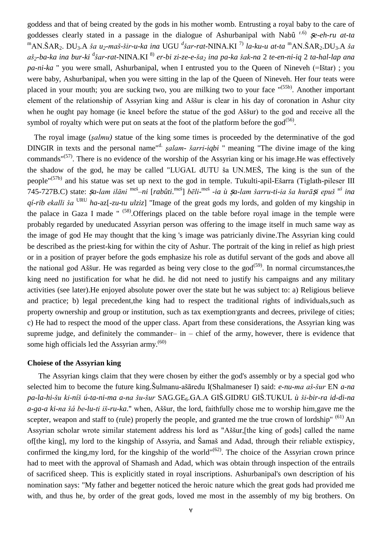goddess and that of being created by the gods in his mother womb. Entrusting a royal baby to the care of goddesses clearly stated in a passage in the dialogue of Ashurbanipal with Nabû<sup>r.6)</sup> **Se-eh-ru** at-ta <sup>m</sup>AN.ŠAR2. DU3.A *ša u2-maš-šir-u-ka ina* UGU *<sup>d</sup> šar-rat*-NINA.KI 7) *la-ku-u at-ta* <sup>m</sup>AN.ŠAR2.DU3.A *ša* aš<sub>2</sub>-ba-ka ina bur-ki <sup>d</sup>šar-rat-NINA.KI <sup>8)</sup> er-bi zi-ze-e-ša<sub>2</sub> ina pa-ka šak-na 2 te-en-ni-iq 2 ta-hal-lap ana *pa-ni-ka* " you were small, Ashurbanipal, when I entrusted you to the Queen of Nineveh (=Ištar) ; you were baby, Ashurbanipal, when you were sitting in the lap of the Queen of Nineveh. Her four teats were placed in your mouth; you are sucking two, you are milking two to your face "<sup>(55b)</sup>. Another important element of the relationship of Assyrian king and Aššur is clear in his day of coronation in Ashur city when he ought pay homage (ie kneel before the statue of the god Aššur) to the god and receive all the symbol of royalty which were put on seats at the foot of the platform before the  $\text{god}^{(56)}$ .

The royal image (*şalmu)* statue of the king some times is proceeded by the determinative of the god DINGIR in texts and the personal name<sup>"d.</sup> *şalam- šarri-iqbi* " meaning "The divine image of the king commands"<sup>(57)</sup>. There is no evidence of the worship of the Assyrian king or his image. He was effectively the shadow of the god, he may be called "LUGAL dUTU ša UN.MEŠ, The king is the sun of the people"(57b) and his statue was set up next to the god in temple. Tukulti-apil-Ešarra (Tiglath-pileser ΙΙΙ 745-727B.C) state: <sup>ṣ</sup>*a-lam ilāni* meš –*ni* [*rabûti*. meš] *bēli*-meš -*ia ù* ṣ*a-lam šarru-ti-ia ša hurā*ṣ*i epuš uš ina qí-rib ekalli ša* URU *ha-*az[-*zu-tu ulziz*] "Image of the great gods my lords, and golden of my kingship in the palace in Gaza I made  $"$  <sup>(58)</sup>. Offerings placed on the table before royal image in the temple were probably regarded by uneducated Assyrian person was offering to the image itself in much same way as the image of god He may thought that the king 's image was patricianly divine.The Assyrian king could be described as the priest-king for within the city of Ashur. The portrait of the king in relief as high priest or in a position of prayer before the gods emphasize his role as dutiful servant of the gods and above all the national god Aššur. He was regarded as being very close to the god<sup>(59)</sup>. In normal circumstances, the king need no justification for what he did. he did not need to justify his campaigns and any military activities (see later).He enjoyed absolute power over the state but he was subject to: a) Religious believe and practice; b) legal precedent,the king had to respect the traditional rights of individuals,such as property ownership and group or institution, such as tax exemption grants and decrees, privilege of cities; c) He had to respect the mood of the upper class. Apart from these considerations, the Assyrian king was supreme judge, and definitely the commander– in – chief of the army, however, there is evidence that some high officials led the Assyrian army.<sup>(60)</sup>

### **Choiese of the Assyrian king**

The Assyrian kings claim that they were chosen by either the god's assembly or by a special god who selected him to become the future king.Šulmanu-ašāredu I(Shalmaneser I) said: *e-nu-ma aš-šur* EN *a-na pa-la-hi-šu ki-níš ú*-*ta-ni-ma a-na šu-šur* SAG.GE6.GA.A GIŠ.GIDRU GIŠ.TUKUL *ù ši-bir-ra id-di-na a-ga-a ki-na šá be-lu-ti iš-ru-ka*." when, Aššur, the lord, faithfully chose me to worship him,gave me the scepter, weapon and staff to (rule) properly the people, and granted me the true crown of lordship" (61) An Assyrian scholar wrote similar statement address his lord as "Aššur,[the king of gods] called the name of[the king], my lord to the kingship of Assyria, and Šamaš and Adad, through their reliable extispicy, confirmed the king, my lord, for the kingship of the world" $(62)$ . The choice of the Assyrian crown prince had to meet with the approval of Shamash and Adad, which was obtain through inspection of the entrails of sacrificed sheep. This is explicitly stated in royal inscriptions. Ashurbanipal's own description of his nomination says: "My father and begetter noticed the heroic nature which the great gods had provided me with, and thus he, by order of the great gods, loved me most in the assembly of my big brothers. On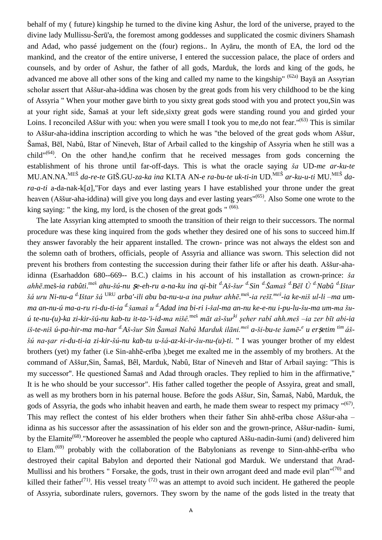behalf of my ( future) kingship he turned to the divine king Ashur, the lord of the universe, prayed to the divine lady Mullissu-Šerū'a, the foremost among goddesses and supplicated the cosmic diviners Shamash and Adad, who passé judgement on the (four) regions.. In Ayāru, the month of EA, the lord od the mankind, and the creator of the entire universe, I entered the succession palace, the place of orders and counsels, and by order of Ashur, the father of all gods, Marduk, the lords and king of the gods, he advanced me above all other sons of the king and called my name to the kingship" (62a) Baya an Assyrian scholar assert that Aššur-aha-iddina was chosen by the great gods from his very childhood to be the king of Assyria " When your mother gave birth to you sixty great gods stood with you and protect you,Sin was at your right side, Šamaš at your left side,sixty great gods were standing round you and girded your Loins. I reconciled Aššur with you: when you were small I took you to me, do not fear."<sup>(63)</sup> This is similar to Aššur-aha-iddina inscription according to which he was "the beloved of the great gods whom Aššur, Šamaš, Bēl, Nabû, Ištar of Nineveh, Ištar of Arbail called to the kingship of Assyria when he still was a child" $(64)$ . On the other hand,he confirm that he received messages from gods concerning the establishment of his throne until far-off-days. This is what the oracle saying *ša* UD-*me ar-ku-te* MU.AN.NA.MEŠ *da-re-te* GIŠ.GU*-za-ka ina* KI.TA AN-*e ra-bu-te uk-ti-in* UD.MEŠ *ar-ku-u-ti* MU.MEŠ *dara-a-ti* a-da-nak-k[*a*],"For days and ever lasting years I have established your throne under the great heaven (Aššur-aha-iddina) will give you long days and ever lasting years"<sup>(65)</sup>. Also Some one wrote to the king saying: " the king, my lord, is the chosen of the great gods " (66).

The late Assyrian king attempted to smooth the transition of their reign to their successors. The normal procedure was these king inquired from the gods whether they desired one of his sons to succeed him.If they answer favorably the heir apparent installed. The crown- prince was not always the eldest son and the solemn oath of brothers, officials, people of Assyria and alliance was sworn. This selection did not prevent his brothers from contesting the succession during their father life or after his death. Aššur-ahaidinna (Esarhaddon 680--669-- B.C.) claims in his account of his installation as crown-prince: *ša*  ahhē.meš-ia rabûti.<sup>meš</sup> ahu-šú-nu *Şe-eh-ru a-na-ku ina qi-bit <sup>d.</sup>Aš-šur <sup>d.</sup>Sin <sup>d.</sup>Šamaš <sup>d.</sup>Bēl Ù <sup>d.</sup>Nabû <sup>d.</sup>Ištar šá uru Ni-nu-a d.Ištar šá* URU *arba'-ili abu ba-nu-u-a ina puhur ahhē*. meš -*ia rešī.meš -ia ke-niš ul-li –ma umma an-nu-ú ma-a-ru ri-du-ti-ia d.šamaš u d.Adad ina bi-ri i-šal-ma an-nu ke-e-nu i-pu-lu-šu-ma um-ma šuú te-nu-(u)-ka zi-kir-šú-nu kab-tu it-ta-'i-id-ma nišê.*meš *māt aš-šurki şeher rabî ahh.meš –ia zer bīt abi-ia iš-te-niš ú*-*pa-hir-ma ma-har d.Aš-šur Sin Šamaš Nabû Marduk ilāni.meš a-ši-bu-te šamē-e u er*ṣ*etim tim áššú na-şar ri-du-ti-ia zi-kir-šú-nu kab-tu u-šá-az-ki-ir-šu-nu-(u)-ti*. " I was younger brother of my eldest brothers (yet) my father (i.e Sin-ahhē-erība ),beget me exalted me in the assembly of my brothers. At the command of Aššur,Sin, Šamaš, Bêl, Marduk, Nabû, Ištar of Nineveh and Ištar of Arbail saying: "This is my successor". He questioned Šamaš and Adad through oracles. They replied to him in the affirmative," It is he who should be your successor". His father called together the people of Assyira, great and small, as well as my brothers born in his paternal house. Before the gods Aššur, Sin, Šamaš, Nabû, Marduk, the gods of Assyria, the gods who inhabit heaven and earth, he made them swear to respect my primacy "<sup>(67)</sup>. This may reflect the contest of his elder brothers when their father Sin ahhē-erība chose Aššur-aha – idinna as his successor after the assassination of his elder son and the grown-prince, Aššur-nadin- šumi, by the Elamite<sup>(68)</sup>. "Moreover he assembled the people who captured Aššu-nadin-šumi (and) delivered him to Elam.<sup>(69)</sup> probably with the collaboration of the Babylonians as revenge to Sinn-ahhē-erība who destroyed their capital Babylon and deported their National god Marduk. We understand that Arad-Mullissi and his brothers " Forsake, the gods, trust in their own arrogant deed and made evil plan"<sup>(70)</sup> and killed their father<sup>(71)</sup>. His vessel treaty  $(72)$  was an attempt to avoid such incident. He gathered the people of Assyria, subordinate rulers, governors. They sworn by the name of the gods listed in the treaty that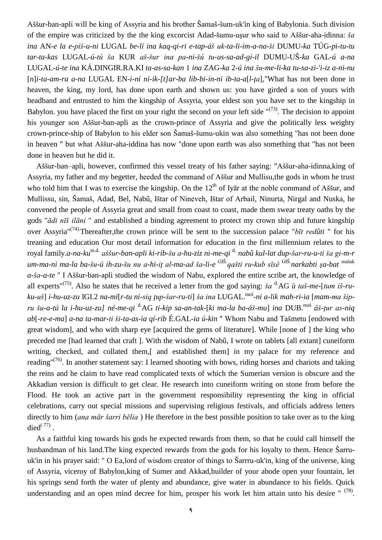Aššur-ban-apli will be king of Assyria and his brother Šamaš-šum-uk'in king of Babylonia. Such division of the empire was criticized by the the king excorcist Adad-šumu-uşur who said to Aššur-aha-idinna: *ša ina* AN-*e la e-piš-u-ni* LUGAL *be-lí ina kaq-qi-ri e-tap-áš uk-ta-li-im-a-na-ši* DUMU-*ka* TÚG-*pi-tu-tu tar-ta-kas* LUGAL*-ú-tú ša* KUR *aš-šur ina pa-ni-šú tu-us-sa-ad-gi-il* DUMU-UŠ*-ka* GAL*-ú a-na* LUGAL-*ú*-*te ina* KÁ.DINGIR.RA.KI *ta-as-sa-kan* 1 *ina* ZAG-*ka* 2-*ú ina šu-me-li-ka tu-sa-zi-'i-iz a-ni-nu* [*n*]*i-ta-am-ra a-na* LUGAL EN-*i-ni ni-ik-[t]ar-ba lib-bi-in-ni ib-ta-a*[*l-ţa*],"What has not been done in heaven, the king, my lord, has done upon earth and shown us: you have girded a son of yours with headband and entrusted to him the kingship of Assyria, your eldest son you have set to the kingship in Babylon. you have placed the first on your right the second on your left side  $\sqrt{(73)}$ . The decision to appoint his younger son Aššur-ban-apli as the crown-prince of Assyria and give the politically less weighty crown-prince-ship of Babylon to his elder son Šamaš-šumu-ukin was also something "has not been done in heaven " but what Aššur-aha-iddina has now "done upon earth was also something that "has not been done in heaven but he did it.

Aššur-ban–apli, however, confirmed this vessel treaty of his father saying: "Aššur-aha-idinna,king of Assyria, my father and my begetter, heeded the command of Aššur and Mullisu,the gods in whom he trust who told him that I was to exercise the kingship. On the  $12<sup>th</sup>$  of Ivar at the noble command of Aššur, and Mullissu, sin, Šamaš, Adad, Bel, Nabû, Ištar of Nineveh, Ištar of Arbail, Ninurta, Nirgal and Nuska, he convened the people of Assyria great and small from coast to coast, made them swear treaty oaths by the gods "*ādi nīš ilāni* " and established a binding agreement to protect my crown ship and future kingship over Assyria"(74). Thereafter,the crown prince will be sent to the succession palace "*bīt redûti* " for his treaning and education Our most detail information for education in the first millennium relates to the royal family.*a-na-ku*m.d. *aššur-ban-apli ki-rib-šu a-hu-ziz ni-me-qi* d. *nabû kul-lat dup-šar-ru-u-ti ša gi-m-r um-ma-ni ma-la ba-šu-ú ih-zu-šu nu a-hi-iţ al-ma-ad ša-li-e* GIŠ.*qašti ru-kub sīsê* GIŠ.*narkabti şa-bat* mašak *a-ša-a-te* " I Aššur-ban-apli studied the wisdom of Nabu, explored the entire scribe art, the knowledge of all experts<sup>"(75)</sup>. Also he states that he received a letter from the god saying: *ša* <sup>d.</sup>AG *ù taš-me-[tum iš-ru*ku-uš] i-hu-uz-zu IGI.2 na-mi[r-tu ni-siq ţup-šar-ru-ti] ša ina LUGAL.<sup>meš</sup>-ni a-lik mah-ri-ia [mam-ma šip*ru šu-a-tú la i-hu-uz-zu] né*-*me-qi* d.AG *ti-kip sa-an-tak*-[*ki ma-la ba-áš-mu*] *ina* DUB.meš *áš-ţur as-niq ab*[-*re-e-ma*] *a-na ta-mar-ti ši-ta-as-ia qí-rib* É.GAL-*ia ú-kin* " Whom Nabu and Tašmetu [endowed with great wisdom], and who with sharp eye [acquired the gems of literature]. While [none of ] the king who preceded me [had learned that craft ]. With the wisdom of Nabû, I wrote on tablets [all extant] cuneiform writing, checked, and collated them,[ and established them] in my palace for my reference and reading"<sup>(76)</sup>. In another statement say: I learned shooting with bows, riding horses and chariots and taking the reins and he claim to have read complicated texts of which the Sumerian version is obscure and the Akkadian version is difficult to get clear. He research into cuneiform writing on stone from before the Flood. He took an active part in the government responsibility representing the king in official celebrations, carry out special missions and supervising religious festivals, and officials address letters directly to him (*ana mār šarri bēlia* ) He therefore in the best possible position to take over as to the king died $^{(77)}$ .

As a faithful king towards his gods he expected rewards from them, so that he could call himself the husbandman of his land.The king expected rewards from the gods for his loyalty to them. Hence Šarruuk'in in his prayer said: " O Ea,lord of wisdom creator of things to Šarrru-uk'in, king of the universe, king of Assyria, viceroy of Babylon,king of Sumer and Akkad,builder of your abode open your fountain, let his springs send forth the water of plenty and abundance, give water in abundance to his fields. Quick understanding and an open mind decree for him, prosper his work let him attain unto his desire " (78).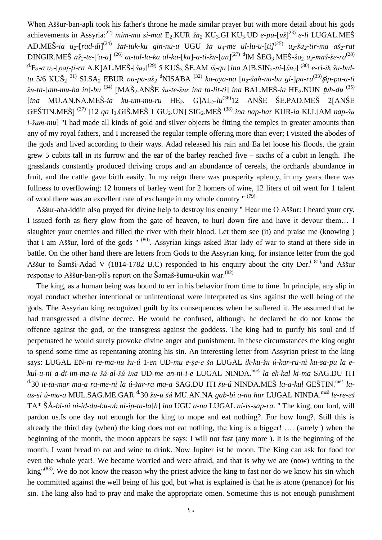When Aššur-ban-apli took his father's throne he made similar prayer but with more detail about his gods achievements in Assyria: 22) *mim-ma si-mat* E2.KUR *ša<sup>2</sup>* KU3.GI KU3.UD *e-pu-*[*uš*] 23) *e-li* LUGAL.MEŠ AD.MEŠ-ia u<sub>2</sub>-[rad-di]<sup>(24)</sup> šat-tuk-ku gin-nu-u UGU ša u<sub>4</sub>-me ul-lu-u-[ti]<sup>(25)</sup> u<sub>2</sub>-ša<sub>2</sub>-tir-ma aš<sub>2</sub>-rat DINGIR.MEŠ *aš2-te*-[*'a-a*] (26) *at-tal-la-ka al-ka-*[*ka*]-*a-ti-šu*-[*un*] (27) d IM ŠEG3.MEŠ-šu<sup>2</sup> *u2-maš-še-ra* (28) d.E2*-a u2-*[*paţ-ţi-ra* A.K]AL.MEŠ-[*šu2*] (29) 5 KUŠ<sup>3</sup> ŠE.AM *iš-qu* [*ina* A]B.SIN2-*ni*-[*šu*2] (30) *e-ri-ik šu-bultu* 5/6 KUŠ<sup>2</sup> 31) SI.SA<sup>2</sup> EBUR *na-pa-aš<sup>2</sup>* <sup>d</sup>NISABA (32) *ka-aya-na* [*u2-šah-na-bu gi-*]*pa-ru* (33)ṣ*ip-pa-a-ti*  $\check{x}u$ -ta-[am-mu-ha in]-bu<sup>(34)</sup> [MAŠ<sub>2</sub>.ANŠE *šu-te-šur ina ta-lit-ti*] *ina* BAL.MEŠ-*ia* HE<sub>2</sub>.NUN *tuh-du*<sup>(35)</sup> [*ina* MU.AN.NA.MEŠ-*ia ku-um-mu-ru* HE2. G]AL2-*lu*(36)12 ANŠE ŠE.PAD.MEŠ 2[ANŠE GEŠTIN.MEŠ] (37) [12 *qa* I3.GIŠ.MEŠ 1 GU2.UN] SIG2.MEŠ (38) *ina nap-har* KUR-*ia* KI.L[AM *nap-šu i-šam-mu*] "I had made all kinds of gold and silver objects be fitting the temples in greater amounts than any of my royal fathers, and I increased the regular temple offering more than ever; I visited the abodes of the gods and lived according to their ways. Adad released his rain and Ea let loose his floods, the grain grew 5 cubits tall in its furrow and the ear of the barley reached five – sixths of a cubit in length. The grasslands constantly produced thriving crops and an abundance of cereals, the orchards abundance in fruit, and the cattle gave birth easily. In my reign there was prosperity aplenty, in my years there was fullness to overflowing: 12 homers of barley went for 2 homers of wine, 12 liters of oil went for 1 talent of wool there was an excellent rate of exchange in my whole country " (79).

Aššur-aha-iddin also prayed for divine help to destroy his enemy " Hear me O Aššur: I heard your cry. I issued forth as fiery glow from the gate of heaven, to hurl down fire and have it devour them… I slaughter your enemies and filled the river with their blood. Let them see (it) and praise me (knowing ) that I am Aššur, lord of the gods "<sup>(80)</sup>. Assyrian kings asked Ištar lady of war to stand at there side in battle. On the other hand there are letters from Gods to the Assyrian king, for instance letter from the god Aššur to Šamši-Adad V (1814-1782 B.C) responded to his enquiry about the city Der.<sup>(81)</sup>and Aššur response to Aššur-ban-pli's report on the Šamaš-šumu-ukin war.<sup>(82)</sup>

The king, as a human being was bound to err in his behavior from time to time. In principle, any slip in royal conduct whether intentional or unintentional were interpreted as sins against the well being of the gods. The Assyrian king recognized guilt by its consequences when he suffered it. He assumed that he had transgressed a divine decree. He would be confused, although, he declared he do not know the offence against the god, or the transgress against the goddess. The king had to purify his soul and if perpetuated he would surely provoke divine anger and punishment. In these circumstances the king ought to spend some time as repentaning atoning his sin. An interesting letter from Assyrian priest to the king says: LUGAL EN-*ni re-ma-nu šu-ú* 1-*en* UD-*mu e-şe-e ša* LUGAL *ik-ku-šu ú-kar-ru-ni ku-sa-pu la ekul-u-ni a-di-im-ma-te šá-al-šú ina* UD-*me an-ni-i-e* LUGAL NINDA.meš *la ek-kal ki-ma* SAG.DU ITI <sup>d.</sup>30 it-ta-mar ma-a ra-me-ni la ú-šar-ra ma-a SAG.DU ITI šu-ú NINDA.MEŠ la-a-kul GEŠTIN.<sup>meš</sup> la*as-si ú-ma-a* MUL.SAG.ME.GAR d.30 *šu-u šá* MU.AN.NA *gab-bi a-na hur* LUGAL NINDA.meš *le-re-eš* TA\* ŠÀ-*bi-ni ni-id-du-bu-ub ni-ip-ta-la*[*h*] *ina* UGU *a-na* LUGAL *ni-is-sap-ra*. " The king, our lord, will pardon us.Is one day not enough for the king to mope and eat nothing?. For how long?. Still this is already the third day (when) the king does not eat nothing, the king is a bigger! …. (surely ) when the beginning of the month, the moon appears he says: I will not fast (any more ). It is the beginning of the month, I want bread to eat and wine to drink. Now Jupiter ist he moon. The King can ask for food for even the whole year!. We became worried and were afraid, and that is why we are (now) writing to the  $\text{king}^{\prime\prime}(83)$ . We do not know the reason why the priest advice the king to fast nor do we know his sin which he committed against the well being of his god, but what is explained is that he is atone (penance) for his sin. The king also had to pray and make the appropriate omen. Sometime this is not enough punishment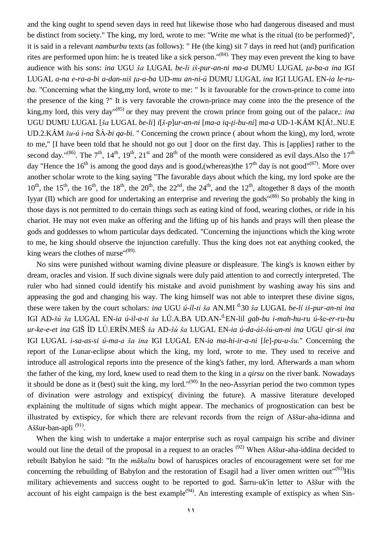and the king ought to spend seven days in reed hut likewise those who had dangerous diseased and must be distinct from society." The king, my lord, wrote to me: "Write me what is the ritual (to be performed)", it is said in a relevant *namburbu* texts (as follows): " He (the king) sit 7 days in reed hut (and) purification rites are performed upon him: he is treated like a sick person."<sup>(84)</sup> They may even prevent the king to have audience with his sons: *ina* UGU *ša* LUGAL *be-li iš-pur-an-ni ma-a* DUMU LUGAL *ţa-ba-a ina* IGI LUGAL *a-na e-ra-a-bi a-dan-niš ţa-a-ba* UD-*mu an-ni-ú* DUMU LUGAL *ina* IGI LUGAL EN-*ia le-ruba*. "Concerning what the king,my lord, wrote to me: " Is it favourable for the crown-prince to come into the presence of the king ?" It is very favorable the crown-prince may come into the the presence of the king,my lord, this very day"(85) or they may prevent the crown prince from going out of the palace,: *ina* UGU DUMU LUGAL [*ša* LUGAL *be-li*] *i*[*š*-*p*]*ur-an-ni* [*ma-a iq-ţi-bu-ni*] *ma-a* UD-1-KÁM K[Á!..NU.E UD.2.KÁM *šu-ú i-na* ŠÀ-*bi qa-bi.* " Concerning the crown prince ( about whom the king), my lord, wrote to me," [I have been told that he should not go out ] door on the first day. This is [applies] rather to the second day."<sup>(86)</sup>. The 7<sup>th</sup>, 14<sup>th</sup>, 19<sup>th</sup>, 21<sup>st</sup> and 28<sup>th</sup> of the month were considered as evil days. Also the 17<sup>th</sup> day "Hence the 16<sup>th</sup> is among the good days and is good,(whereas)the 17<sup>th</sup> day is not good"<sup>(87)</sup>. More over another scholar wrote to the king saying "The favorable days about which the king, my lord spoke are the  $10^{th}$ , the  $15^{th}$ , the  $16^{th}$ , the  $18^{th}$ , the  $20^{th}$ , the  $24^{th}$ , and the  $12^{th}$ , altogether 8 days of the month Iyyar (II) which are good for undertaking an enterprise and revering the gods<sup>"(88)</sup> So probably the king in those days is not permitted to do certain things such as eating kind of food, wearing clothes, or ride in his chariot. He may not even make an offering and the lifting up of his hands and prays will then please the gods and goddesses to whom particular days dedicated. "Concerning the injunctions which the king wrote to me, he king should observe the injunction carefully. Thus the king does not eat anything cooked, the king wears the clothes of nurse"<sup>(89).</sup>

No sins were punished without warning divine pleasure or displeasure. The king's is known either by dream, oracles and vision. If such divine signals were duly paid attention to and correctly interpreted. The ruler who had sinned could identify his mistake and avoid punishment by washing away his sins and appeasing the god and changing his way. The king himself was not able to interpret these divine signs, these were taken by the court scholars*: ina* UGU *ú-íl-ti ša* AN.MI d.30 *ša* LUGAL *be-lí iš-pur-an-ni ina*  IGI AD-*šú ša* LUGAL EN-*ia ú-il-a-ti ša* LÚ.A.BA UD.AN-d.EN-lil *gab-bu i-mah-hu-ru ú*-še-*er-ru-bu ur-ke-e-et ina* GIŠ ÍD LÚ.ERÍN.MEŠ *ša* AD-*šú ša* LUGAL EN-*ia ú-da-áš-šú-un-ni ina* UGU *qir-si ina* IGI LUGAL *i-sa-as-si ú-ma-a ša ina* IGI LUGAL EN-*ia ma-hi-ir-a-ni* [*le*]-*pu-u-šu.*" Concerning the report of the Lunar-eclipse about which the king, my lord, wrote to me. They used to receive and introduce all astrological reports into the presence of the king's father, my lord. Afterwards a man whom the father of the king, my lord, knew used to read them to the king in a *qirsu* on the river bank. Nowadays it should be done as it (best) suit the king, my lord."<sup>(90)</sup> In the neo-Assyrian period the two common types of divination were astrology and extispicy( divining the future). A massive literature developed explaining the multitude of signs which might appear. The mechanics of prognostication can best be illustrated by extispicy, for which there are relevant records from the reign of Aššur-aha-idinna and Aššur-ban-apli<sup>(91)</sup>.

When the king wish to undertake a major enterprise such as royal campaign his scribe and diviner would out line the detail of the proposal in a request to an oracles <sup>(92)</sup> When Aššur-aha-iddina decided to rebuilt Babylon he said: "In the *mākaltu* bowl of haruspices oracles of encouragement were set for me concerning the rebuilding of Babylon and the restoration of Esagil had a liver omen written out" $(93)$ His military achievements and success ought to be reported to god. Šarru-uk'in letter to Aššur with the account of his eight campaign is the best example<sup> $(94)$ </sup>. An interesting example of extispicy as when Sin-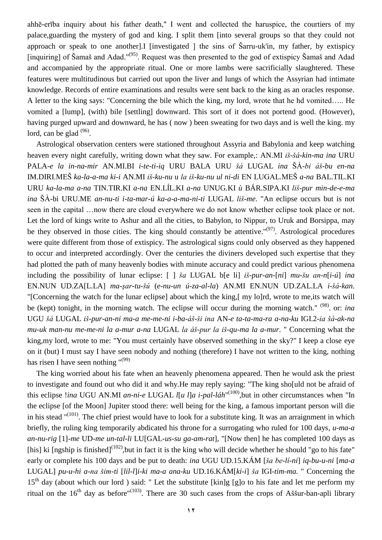ahhē-erība inquiry about his father death," I went and collected the haruspice, the courtiers of my palace,guarding the mystery of god and king. I split them [into several groups so that they could not approach or speak to one another]. I linvestigated  $\perp$  the sins of Sarru-uk'in, my father, by extispicy [inquiring] of Šamaš and Adad."<sup>(95)</sup>. Request was then presented to the god of extispicy Šamaš and Adad and accompanied by the appropriate ritual. One or more lambs were sacrificially slaughtered. These features were multitudinous but carried out upon the liver and lungs of which the Assyrian had intimate knowledge. Records of entire examinations and results were sent back to the king as an oracles response. A letter to the king says: "Concerning the bile which the king, my lord, wrote that he hd vomited….. He vomited a [lump], (with) bile [settling] downward. This sort of it does not portend good. (However), having purged upward and downward, he has ( now ) been sweating for two days and is well the king. my lord, can be glad  $(96)$ .

Astrological observation centers were stationed throughout Assyria and Babylonia and keep watching heaven every night carefully, writing down what they saw. For example,: AN.MI *iš-šá-kin-ma ina* URU PALA-*e la in-na-mir* AN.MI.BI *i-te-ti-iq* URU BALA URU *šá* LUGAL *ina* ŠÀ-*bi áš-bu en-na* IM.DIRI.MEŠ *ka-la-a-ma ki-i* AN.MI *iš-ku-nu* u *la iš-ku-nu ul ni-di* EN LUGAL.MEŠ *a-na* BAL.TIL.KI URU *ka-la-ma a-na* TIN.TIR.KI *a-na* EN.LÍL.KI *a-na* UNUG.KI *ù* BÁR.SIPA.KI *liš-pur min-de-e-ma ina* ŠÀ-bi URU.ME *an-nu-ti i-ta-mar-ú ka-a-a-ma-ni-ti* LUGAL *liš-me*. "An eclipse occurs but is not seen in the capital …now there are cloud everywhere we do not know whether eclipse took place or not. Let the lord of kings write to Ashur and all the cities, to Babylon, to Nippur, to Uruk and Borsippa, may be they observed in those cities. The king should constantly be attentive." $(97)$ . Astrological procedures were quite different from those of extispicy. The astrological signs could only observed as they happened to occur and interpreted accordingly. Over the centuries the diviners developed such expertise that they had plotted the path of many heavenly bodies with minute accuracy and could predict various phenomena including the possibility of lunar eclipse: [ ] *ša* LUGAL b[e li] *iš-pur-an*-[*ni*] *mu-šu an-n*[*i-ú*] *ina* EN.NUN UD.ZA[L.LA] *ma-şar-tu-šú* (*e-nu-un ú-za-al-la*) AN.MI EN.NUN UD.ZAL.LA *i-šá-kan*. "[Concerning the watch for the lunar eclipse] about which the king,[ my lo]rd, wrote to me,its watch will be (kept) tonight, in the morning watch. The eclipse will occur during the morning watch." (98) . or: *ina* UGU *šá* LUGAL *iš-pur-an-ni ma-a me-me-ni i-ba-áš-ši ina* AN-*e ta-ta-ma-ra a-na-ku* IGI.2-*ia šá-ak-na mu-uk man-nu me-me-ni la a-mur a-na* LUGAL *la áš-pur la iš-qu-ma la a-mur*. " Concerning what the king,my lord, wrote to me: "You must certainly have observed something in the sky?" I keep a close eye on it (but) I must say I have seen nobody and nothing (therefore) I have not written to the king, nothing has risen I have seen nothing  $^{\prime\prime(99)}$ 

The king worried about his fate when an heavenly phenomena appeared. Then he would ask the priest to investigate and found out who did it and why.He may reply saying: "The king sho[uld not be afraid of this eclipse *!ina* UGU AN.MI *an-ni-e* LUGAL *l[u l]a i-pal-láh*"<sup>(100)</sup>, but in other circumstances when "In the eclipse [of the Moon] Jupiter stood there: well being for the king, a famous important person will die in his stead  $\binom{n(101)}{n}$ . The chief priest would have to look for a substitute king. It was an arraignment in which briefly, the ruling king temporarily abdicated his throne for a surrogating who ruled for 100 days, *u-ma-a an-nu-rig* [1]-*me* UD-*me un-tal-li* LU[GAL-*us-su ga-am-rat*], "[Now then] he has completed 100 days as [his] ki [ngship is finished]<sup>(102)</sup>, but in fact it is the king who will decide whether he should "go to his fate" early or complete his 100 days and be put to death: *ina* UGU UD.15.KÁM [*ša be-lí-ni*] *iq-bu-u-ni* [*ma-a* LUGAL] *pu-u-hi a-na šim-ti* [*lil-l*]*i-ki ma-a ana-ku* UD.16.KÁM[*ki-i*] *ša* IGI-*tim-ma.* " Concerning the  $15<sup>th</sup>$  day (about which our lord) said: " Let the substitute [kin]g [g]o to his fate and let me perform my ritual on the 16<sup>th</sup> day as before<sup>"(103)</sup>. There are 30 such cases from the crops of Aššur-ban-apli library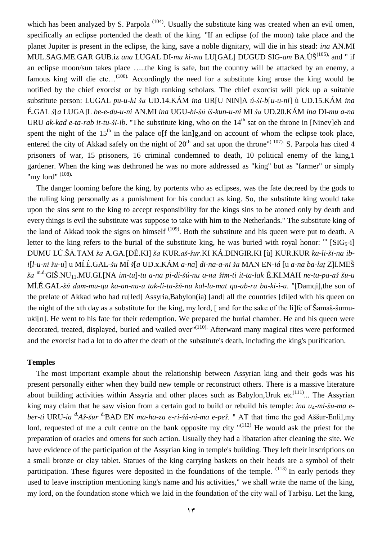which has been analyzed by S. Parpola<sup> $(104)$ </sup>. Usually the substitute king was created when an evil omen, specifically an eclipse portended the death of the king. "If an eclipse (of the moon) take place and the planet Jupiter is present in the eclipse, the king, save a noble dignitary, will die in his stead: *ina* AN.MI MUL.SAG.ME.GAR GUB.iz *ana* LUGAL DI-*mu ki-ma* LU[GAL] DUGUD SIG-*am* BA.ÚŠ(105), and " if an eclipse moon/sun takes place …..the king is safe, but the country will be attacked by an enemy, a famous king will die etc...<sup>(106).</sup> Accordingly the need for a substitute king arose the king would be notified by the chief exorcist or by high ranking scholars. The chief exorcist will pick up a suitable substitute person: LUGAL *pu-u-hi ša* UD.14.KÁM *ina* UR[U NIN]A *ú-ši-b*[*u-u-ni*] ù UD.15.KÁM *ina* É.GAL *š*[*a* LUGA]L *be-e-du-u-ni* AN.MI *ina* UGU-*hi-šú iš-kun-u-ni* MI *ša* UD.20.KÁM *ina* DI-*mu a-na* URU *ak-kad e-ta-rab it-tu-ši-ib*. "The substitute king, who on the  $14<sup>th</sup>$  sat on the throne in [Ninev]eh and spent the night of the  $15<sup>th</sup>$  in the palace of the kin]g, and on account of whom the eclipse took place, entered the city of Akkad safely on the night of  $20^{th}$  and sat upon the throne"<sup>(107)</sup>. S. Parpola has cited 4 prisoners of war, 15 prisoners, 16 criminal condemned to death, 10 political enemy of the king,1 gardener. When the king was dethroned he was no more addressed as "king" but as "farmer" or simply "my lord" (108).

The danger looming before the king, by portents who as eclipses, was the fate decreed by the gods to the ruling king personally as a punishment for his conduct as king. So, the substitute king would take upon the sins sent to the king to accept responsibility for the kings sins to be atoned only by death and every things is evil the substitute was suppose to take with him to the Netherlands." The substitute king of the land of Akkad took the signs on himself  $(109)$ . Both the substitute and his queen were put to death. A letter to the king refers to the burial of the substitute king, he was buried with royal honor:  $^{\rm m}$  [SIG<sub>5</sub>-i] DUMU LÚ.ŠÀ.TAM *ša* A.GA.[DÈ.KI] *ša* KUR.*aš-šur*.KI KÁ.DINGIR.KI [ù] KUR.KUR *ka-li-ši-na ibi*[*l-u-ni šu-u*] u MÍ.É.GAL*-šu* MÍ *š*[*a* UD.x.KÁM *a-na*] *di-na-a-ni ša* MAN EN-*iá* [u *a-na ba-laţ* Z]I.MEŠ *ša* m.d.GIŠ.NU11.MU.GI.[NA *im-tu*]-*tu a-na pi-di-šú-nu a-na šim-ti it*-*ta-lak* É.KI.MAH *ne-ta-pa-aš šu-u* MÍ.É.GAL-*šú dam-mu-qu ka-an-nu-u tak-li-ta-šú-nu kal-lu-mat qa-ab-ru ba-ki-i-u*. "[Damqi],the son of the prelate of Akkad who had ru[led] Assyria,Babylon(ia) [and] all the countries [di]ed with his queen on the night of the xth day as a substitute for the king, my lord, [ and for the sake of the li]fe of Šamaš-šumuuki[n]. He went to his fate for their redemption. We prepared the burial chamber. He and his queen were decorated, treated, displayed, buried and wailed over"<sup>(110)</sup> Afterward many magical rites were performed and the exorcist had a lot to do after the death of the substitute's death, including the king's purification.

### **Temples**

The most important example about the relationship between Assyrian king and their gods was his present personally either when they build new temple or reconstruct others. There is a massive literature about building activities within Assyria and other places such as Babylon, Uruk etc $(111)$ ... The Assyrian king may claim that he saw vision from a certain god to build or rebuild his temple: *ina u4-mi-šu-ma eber-ti* URU-*ia d.Aš-šur* d.BAD EN *ma-ha-za e-ri-šá-ni-ma e-peš.* " AT that time the god Aššur-Enlil,my lord, requested of me a cult centre on the bank opposite my city  $(112)$  He would ask the priest for the preparation of oracles and omens for such action. Usually they had a libatation after cleaning the site. We have evidence of the participation of the Assyrian king in temple's building. They left their inscriptions on a small bronze or clay tablet. Statues of the king carrying baskets on their heads are a symbol of their participation. These figures were deposited in the foundations of the temple.  $(113)$  In early periods they used to leave inscription mentioning king's name and his activities," we shall write the name of the king, my lord, on the foundation stone which we laid in the foundation of the city wall of Tarbişu. Let the king,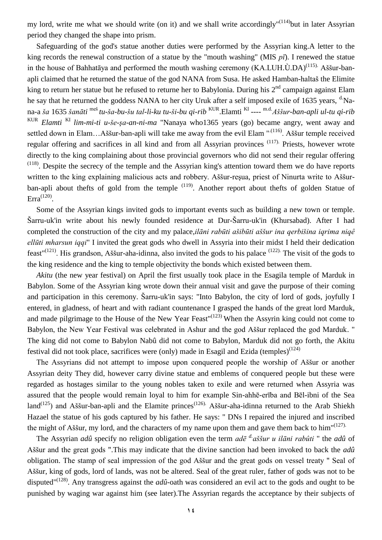my lord, write me what we should write (on it) and we shall write accordingly"<sup>(114)</sup>but in later Assyrian period they changed the shape into prism.

Safeguarding of the god's statue another duties were performed by the Assyrian king.A letter to the king records the renewal construction of a statue by the "mouth washing" (MIS *pī*). I renewed the statue in the house of Bahhatāya and performed the mouth washing ceremony  $(KA.LUH.\dot{U}.DA)^{(115)}$ . Aššur-banapli claimed that he returned the statue of the god NANA from Susa. He asked Hamban-haltaš the Elimite king to return her statue but he refused to returne her to Babylonia. During his 2<sup>nd</sup> campaign against Elam he say that he returned the goddess NANA to her city Uruk after a self imposed exile of 1635 years, <sup>d</sup>.Nana-a *ša* 1635 *šanāti* meš *tu-ša-bu-šu tal-li-ku tu-ši-bu qi-rib* KUR.Elamti KI ---- m.d.*Aššur-ban-apli ul-tu qi-rib* KUR *Elamti* KI *lim-mi-ti u-še-şa-an-ni-ma* "Nanaya who1365 years (go) became angry, went away and settled down in Elam...Aššur-ban-apli will take me away from the evil Elam "<sup>.(116)</sup>. Aššur temple received regular offering and sacrifices in all kind and from all Assyrian provinces <sup>(117)</sup>. Priests, however wrote directly to the king complaining about those provincial governors who did not send their regular offering  $(118)$ . Despite the secrecy of the temple and the Assyrian king's attention toward them we do have reports written to the king explaining malicious acts and robbery. Aššur-reşua, priest of Ninurta write to Aššurban-apli about thefts of gold from the temple <sup>(119)</sup>. Another report about thefts of golden Statue of Erra<sup> $(120)$ </sup>.

Some of the Assyrian kings invited gods to important events such as building a new town or temple. Šarru-uk'in write about his newly founded residence at Dur-Šarru-uk'in (Khursabad). After I had completed the construction of the city and my palace,*ilāni rabūti ašibūti aššur ina qerbišina iqrima niqê ellūti mharsun iqqi*" I invited the great gods who dwell in Assyria into their midst I held their dedication feast"<sup>(121)</sup>. His grandson, Aššur-aha-idinna, also invited the gods to his palace <sup>(122)</sup> The visit of the gods to the king residence and the king to temple objectivity the bonds which existed between them.

*Akitu* (the new year festival) on April the first usually took place in the Esagila temple of Marduk in Babylon. Some of the Assyrian king wrote down their annual visit and gave the purpose of their coming and participation in this ceremony. Šarru-uk'in says: "Into Babylon, the city of lord of gods, joyfully I entered, in gladness, of heart and with radiant countenance I grasped the hands of the great lord Marduk, and made pilgrimage to the House of the New Year Feast"<sup>(123)</sup> When the Assyrin king could not come to Babylon, the New Year Festival was celebrated in Ashur and the god Aššur replaced the god Marduk. " The king did not come to Babylon Nabû did not come to Babylon, Marduk did not go forth, the Akitu festival did not took place, sacrifices were (only) made in Esagil and Ezida (temples)<sup>(124)</sup>

The Assyrians did not attempt to impose upon conquered people the worship of Aššur or another Assyrian deity They did, however carry divine statue and emblems of conquered people but these were regarded as hostages similar to the young nobles taken to exile and were returned when Assyria was assured that the people would remain loyal to him for example Sin-ahhē-erība and Bēl-ibni of the Sea land<sup>(125</sup>) and Aššur-ban-apli and the Elamite princes<sup>(126).</sup> Aššur-aha-idinna returned to the Arab Shiekh Hazael the statue of his gods captured by his father. He says: " DNs I repaired the injured and inscribed the might of Aššur, my lord, and the characters of my name upon them and gave them back to him<sup>"(127).</sup>

The Assyrian *adû* specify no religion obligation even the term *adē d.aššur u ilāni rabûti* " the *adû* of Aššur and the great gods ".This may indicate that the divine sanction had been invoked to back the *adû*  obligation. The stamp of seal impression of the god Aššur and the great gods on vessel treaty " Seal of Aššur, king of gods, lord of lands, was not be altered. Seal of the great ruler, father of gods was not to be disputed"(128) . Any transgress against the *adû*-oath was considered an evil act to the gods and ought to be punished by waging war against him (see later).The Assyrian regards the acceptance by their subjects of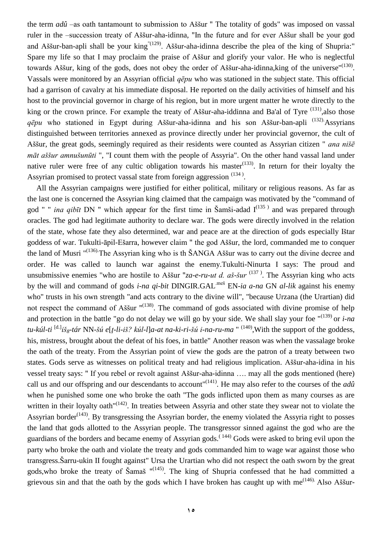the term *adû* –as oath tantamount to submission to Aššur " The totality of gods" was imposed on vassal ruler in the –succession treaty of Aššur-aha-idinna, "In the future and for ever Aššur shall be your god and Aššur-ban-apli shall be your king  $(129)$ . Aššur-aha-idinna describe the plea of the king of Shupria:" Spare my life so that I may proclaim the praise of Aššur and glorify your valor. He who is neglectful towards Aššur, king of the gods, does not obey the order of Aššur-aha-idinna, king of the universe"<sup>(130)</sup>. Vassals were monitored by an Assyrian official *qēpu* who was stationed in the subject state. This official had a garrison of cavalry at his immediate disposal. He reported on the daily activities of himself and his host to the provincial governor in charge of his region, but in more urgent matter he wrote directly to the king or the crown prince. For example the treaty of Aššur-aha-iddinna and Ba'al of Tyre <sup>(131)</sup>, also those *qēpu* who stationed in Egypt during Aššur-aha-idinna and his son Aššur-ban-apli (132).Assyrians distinguished between territories annexed as province directly under her provincial governor, the cult of Aššur, the great gods, seemingly required as their residents were counted as Assyrian citizen " *ana nišē māt aššur amnušunūti* ", "I count them with the people of Assyria". On the other hand vassal land under native ruler were free of any cultic obligation towards his master $(133)$ . In return for their loyalty the Assyrian promised to protect vassal state from foreign aggression  $(134)$ .

All the Assyrian campaigns were justified for either political, military or religious reasons. As far as the last one is concerned the Assyrian king claimed that the campaign was motivated by the "command of god " " *ina qibīt* DN " which appear for the first time in Šamši-adad  $I^{(135)}$  and was prepared through oracles. The god had legitimate authority to declare war. The gods were directly involved in the relation of the state, whose fate they also determined, war and peace are at the direction of gods especially Ištar goddess of war. Tukulti-āpil-Ešarra, however claim " the god Aššur, the lord, commanded me to conquer the land of Musri "<sup>(136)</sup>. The Assyrian king who is th ŠANGA Aššur was to carry out the divine decree and order. He was called to launch war against the enemy.Tukulti-Ninurta I says: The proud and unsubmissive enemies "who are hostile to Aššur "*za-e-ru-ut d. aš-šur* <sup>(137)</sup>. The Assyrian king who acts by the will and command of gods *i-na qi-bit* DINGIR.GAL.meš EN*-ia a-na* GN *al-lik* against his enemy who" trusts in his own strength "and acts contrary to the divine will", "because Urzana (the Urartian) did not respect the command of Aššur "<sup>(138)</sup>. The command of gods associated with divine promise of help and protection in the battle "go do not delay we will go by your side. We shall slay your foe "(139) or *i-na tu-kúl-ti* [d.]*iš8-tár* NN-*šú e*[*ţ-li-iš? kúl-l*]*a-at na-ki-ri-šú i-na-ru-ma* " (140) ,With the support of the goddess, his, mistress, brought about the defeat of his foes, in battle" Another reason was when the vassalage broke the oath of the treaty. From the Assyrian point of view the gods are the patron of a treaty between two states. Gods serve as witnesses on political treaty and had religious implication. Aššur-aha-idina in his vessel treaty says: " If you rebel or revolt against Aššur-aha-idinna …. may all the gods mentioned (here) call us and our offspring and our descendants to account" (141) . He may also refer to the courses of the *adû* when he punished some one who broke the oath "The gods inflicted upon them as many courses as are written in their loyalty oath<sup>"(142)</sup>. In treaties between Assyria and other state they swear not to violate the Assyrian border<sup> $(143)$ </sup>. By transgressing the Assyrian border, the enemy violated the Assyria right to posses the land that gods allotted to the Assyrian people. The transgressor sinned against the god who are the guardians of the borders and became enemy of Assyrian gods.<sup> $(144)$ </sup> Gods were asked to bring evil upon the party who broke the oath and violate the treaty and gods commanded him to wage war against those who transgress.Šarru-ukin II fought against" Ursa the Urartian who did not respect the oath sworn by the great gods, who broke the treaty of Šamaš  $^{\prime\prime}(145)$ . The king of Shupria confessed that he had committed a grievous sin and that the oath by the gods which I have broken has caught up with me<sup> $(146)$ </sup> Also Aššur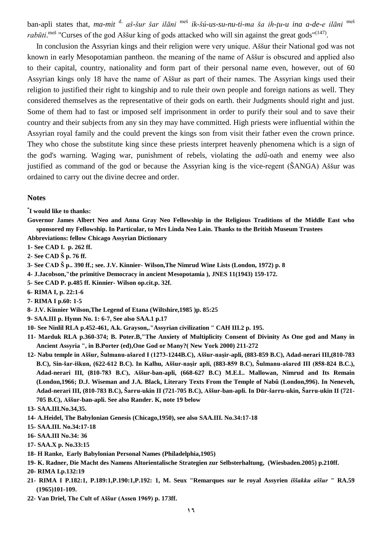ban-apli states that, *ma-mit* d. *aš-šur šar ilāni* meš *ik-šú-us-su-nu-ti-ma ša ih-ţu-u ina a-de-e ilāni* meš rabūti.<sup>meš</sup> "Curses of the god Aššur king of gods attacked who will sin against the great gods"<sup>(147)</sup>.

In conclusion the Assyrian kings and their religion were very unique. Aššur their National god was not known in early Mesopotamian pantheon. the meaning of the name of Aššur is obscured and applied also to their capital, country, nationality and form part of their personal name even, however, out of 60 Assyrian kings only 18 have the name of Aššur as part of their names. The Assyrian kings used their religion to justified their right to kingship and to rule their own people and foreign nations as well. They considered themselves as the representative of their gods on earth. their Judgments should right and just. Some of them had to fast or imposed self imprisonment in order to purify their soul and to save their country and their subjects from any sin they may have committed. High priests were influential within the Assyrian royal family and the could prevent the kings son from visit their father even the crown prince. They who chose the substitute king since these priests interpret heavenly phenomena which is a sign of the god's warning. Waging war, punishment of rebels, violating the *adû*-oath and enemy wee also justified as command of the god or because the Assyrian king is the vice-regent (ŠANGA) Aššur was ordained to carry out the divine decree and order.

#### **Notes**

**\* I would like to thanks:**

**Governor James Albert Neo and Anna Gray Neo Fellowship in the Religious Traditions of the Middle East who sponsored my Fellowship. In Particular, to Mrs Linda Neo Lain. Thanks to the British Museum Trustees**

- **Abbreviations: fellow Chicago Assyrian Dictionary**
- **1- See CAD I. p. 262 ff.**
- **2- See CAD Š p. 76 ff.**
- **3- See CAD Š p.. 390 ff.; see. J.V. Kinnier- Wilson,The Nimrud Wine Lists (London, 1972) p. 8**
- **4- J.Jacobson,"the primitive Democracy in ancient Mesopotamia ), JNES 11(1943) 159-172.**
- **5- See CAD P. p.485 ff. Kinnier- Wilson op.cit.p. 32f.**
- **6- RIMA I, p. 22:1-6**
- **7- RIMA I p.60: 1-5**
- **8- J.V. Kinnier Wilson,The Legend of Etana (Wiltshire,1985 )p. 85:25**
- **9- SAA.III p. Hymn No. 1: 6-7, See also SAA.1 p.17**
- **10- See Ninlil RLA p.452-461, A.k. Grayson,."Assyrian civilization " CAH III.2 p. 195.**
- **11- Marduk RLA p.360-374; B. Poter.B,"The Anxiety of Multiplicity Consent of Divinity As One god and Many in Ancient Assyria ", in B.Porter (ed),One God or Many?( New York 2000) 211-272**
- **12- Nabu temple in Aššur, Šulmanu-ašared I (1273-1244B.C), Aššur-naşir-apli, (883-859 B.C), Adad-nerari III,(810-783 B.C), Sin-šar-iškun, (622-612 B.C). In Kalhu, Aššur-naşir apli, (883-859 B.C), Šulmanu-ašared III (858-824 B.C.), Adad-nerari III, (810-783 B.C), Aššur-ban-apli, (668-627 B.C) M.E.L. Mallowan, Nimrud and Its Remain (London,1966; D.J. Wiseman and J.A. Black, Literary Texts From the Temple of Nabû (London,996). In Neneveh, Adad-nerari III, (810-783 B.C), Šarru-ukin II (721-705 B.C), Aššur-ban-apli. In Dūr-šarru-ukin, Šarru-ukin II (721- 705 B.C), Aššur-ban-apli. See also Rander. K, note 19 below**
- **13- SAA.III.No.34,35.**
- **14- A.Heidel, The Babylonian Genesis (Chicago,1950), see also SAA.III. No.34:17-18**
- **15- SAA.III. No.34:17-18**
- **16- SAA.III No.34: 36**
- **17- SAA.X p. No.33:15**
- **18- H Ranke, Early Babylonian Personal Names (Philadelphia,1905)**
- **19- K. Radner, Die Macht des Namens Altorientalische Strategien zur Selbsterhaltung, (Wiesbaden.2005) p.210ff.**
- **20- RIMA I.p.132:19**
- **21- RIMA I P.182:1, P.189:1,P.190:1,P.192: 1, M. Seux "Remarques sur le royal Assyrien** *iššakku aššur* **" RA.59 (1965)101-109.**
- **22- Van Driel, The Cult of Aššur (Assen 1969) p. 173ff.**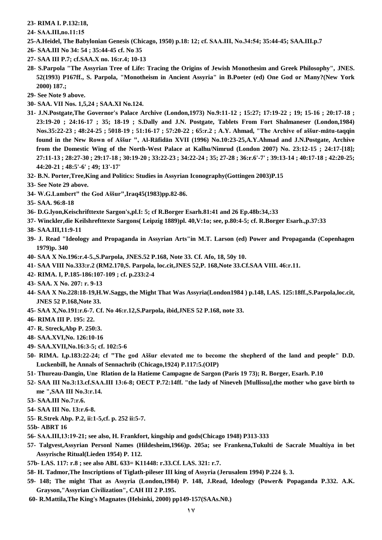#### **23- RIMA I. P.132:18,**

- **24- SAA.ΙΙΙ,no.11:15**
- **25-A.Heidel, The Babylonian Genesis (Chicago, 1950) p.18: 12; cf. SAA.ΙΙΙ, No.34:54; 35:44-45; SAA.III.p.7**
- **26- SAA.III No 34: 54 ; 35:44-45 cf. No 35**
- **27- SAA III P.7; cf.SAA.X no. 16:r.4; 10-13**
- **28- S.Parpola "The Assyrian Tree of Life: Tracing the Origins of Jewish Monothesim and Greek Philosophy", JNES. 52(1993) P167ff., S. Parpola, "Monotheism in Ancient Assyria" in B.Poeter (ed) One God or Many?(New York 2000) 187.;**
- **29- See Note 9 above.**
- **30- SAA. VII Nos. 1,5,24 ; SAA.XI No.124.**
- **31- J.N.Postgate,The Governor's Palace Archive (London,1973) No.9:11-12 ; 15:27; 17:19-22 ; 19; 15-16 ; 20:17-18 ; 23:19-20 ; 24:16-17 ; 35; 18-19 ; S.Dally and J.N. Postgate, Tablets From Fort Shalmaneser (London,1984) Nos.35:22-23 ; 48:24-25 ; 5018-19 ; 51:16-17 ; 57:20-22 ; 65:r.2 ; A.Y. Ahmad, "The Archive of aššur-mātu-taqqin found in the New Rown of Aššur ", Al-Rāfidān XVII (1996) No.10:23-25,A.Y.Ahmad and J.N.Postgate, Archive from the Domestic Wing of the North-West Palace at Kalhu/Nimrud (London 2007) No. 23:12-15 ; 24:17-[18]; 27:11-13 ; 28:27-30 ; 29:17-18 ; 30:19-20 ; 33:22-23 ; 34:22-24 ; 35; 27-28 ; 36:r.6'-7' ; 39:13-14 ; 40:17-18 ; 42:20-25; 44:20-21 ; 48:5'-6' ; 49; 13'-17'**
- **32- B.N. Porter,Tree,King and Politics: Studies in Assyrian Iconography(Gottingen 2003)P.15**
- **33- See Note 29 above.**
- **34- W.G.Lambert" the God Aššur",Iraq45(1983)pp.82-86.**
- **35- SAA. 96:8-18**
- **36- D.G.lyon,Keischrifttexte Sargon's,pl.I: 5; cf R.Borger Esarh.81:41 and 26 Ep.48b:34,:33**
- **37- Winckler,die Keilshrefttexte Sargons( Leipzig 1889)pl. 40,V:1o; see, p.80:4-5; cf. R.Borger Esarh.,p.37:33**
- **38- SAA.III,11:9-11**
- **39- J. Read "Ideology and Propaganda in Assyrian Arts"in M.T. Larson (ed) Power and Propaganda (Copenhagen 1979)p. 340**
- **40- SAA X No.196:r.4-5.,S.Parpola, JNES.52 P.168, Note 33. Cf. Afo, 18, 50y 10.**
- **41- SAA VIII No.333:r.2 (RM2.170,S. Parpola, loc.cit,JNES 52,P. 168,Note 33.Cf.SAA VIII. 46:r.11.**
- **42- RIMA. I, P.185-186:107-109 ; cf. p.233:2-4**
- **43- SAA. X No. 207: r. 9-13**
- **44- SAA X No.228:18-19,H.W.Saggs, the Might That Was Assyria(London1984 ) p.148, LAS. 125:18ff.,S.Parpola,loc.cit, JNES 52 P.168,Note 33.**
- **45- SAA X,No.191:r.6-7. Cf. No 46:r.12,S.Parpola, ibid,JNES 52 P.168, note 33.**
- **46- RIMA III P. 195: 22.**
- **47- R. Streck,Abp P. 250:3.**
- **48- SAA.XVI,No. 126:10-16**
- **49- SAA.XVII,No.16:3-5; cf. 102:5-6**
- **50- RIMA. I,p.183:22-24; cf "The god Aššur elevated me to become the shepherd of the land and people" D.D. Luckenbill, he Annals of Sennachrib (Chicago,1924) P.117:5.(OIP)**
- **51- Thureau-Dangin, Une Rlation de la Hatieme Campagne de Sargon (Paris 19 73); R. Borger, Esarh. P.10**
- **52- SAA III No.3:13.cf.SAA.ΙΙΙ 13:6-8; OECT P.72:14ff. "the lady of Nineveh [Mullissu],the mother who gave birth to me ",SAA III No.3:r.14.**
- **53- SAA.ΙΙΙ No.7:r.6.**
- **54- SAA III No. 13:r.6-8.**
- **55- R.Strek Abp. P.2, ii:1-5,cf. p. 252 ii:5-7.**
- **55b- ABRT 16**
- **56- SAA.ΙΙΙ,13:19-21; see also, H. Frankfort, kingship and gods(Chicago 1948) P313-333**
- **57- Talgvest,Assyrian Personl Names (Hildesheim,1966)p. 205a; see Frankena,Tukulti de Sacrale Mualtiya in bet Assyrische Ritual(Lieden 1954) P. 112.**
- **57b- LAS. 117: r.8 ; see also ABL 633= K11448: r.33.Cf. LAS. 321: r.7.**
- **58- H. Tadmor,The Inscriptions of Tiglath-pileser III king of Assyria (Jerusalem 1994) P.224 §. 3.**
- **59- 148; The might That as Assyria (London,1984) P. 148, J.Read, Ideology (Power& Popaganda P.332. A.K. Grayson,"Assyrian Civilization", CAH III 2 P.195.**
- **60- R.Mattila,The King's Magnates (Helsinki, 2000) pp149-157(SAAs.N0.)**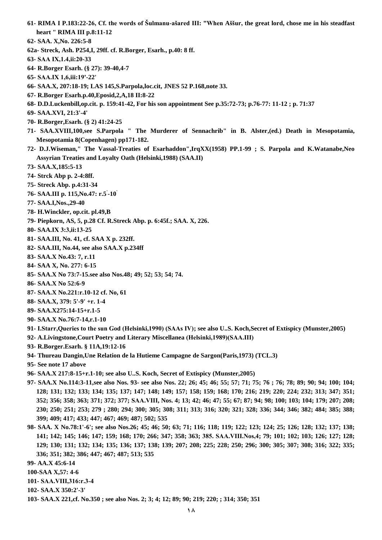- **61- RIMA I P.183:22-26, Cf. the words of Šulmanu-ašared III: "When Aššur, the great lord, chose me in his steadfast heart " RIMA III p.8:11-12**
- **62- SAA. X,No. 226:5-8**
- **62a- Streck, Ash. P254,I, 29ff. cf. R.Borger, Esarh., p.40: 8 ff.**
- **63- SAA ΙX,1.4,ii:20-33**
- **64- R.Borger Esarh. (§ 27): 39-40,4-7**
- **65- SAA.ΙX 1,6,iii:19'-22'**
- **66- SAA.X, 207:18-19; LAS 145,S.Parpola,loc.cit, JNES 52 P.168,note 33.**
- **67- R.Borger Esarh.p.40,Eposid,2,A,18 II:8-22**
- **68- D.D.Luckenbill,op.cit. p. 159:41-42, For his son appointment See p.35:72-73; p.76-77: 11-12 ; p. 71:37**
- **69- SAA.XVI, 21:3'-4'**
- **70- R.Borger,Esarh. (§ 2) 41:24-25**
- **71- SAA.XVIII,100,see S.Parpola " The Murderer of Sennachrib" in B. Alster,(ed.) Death in Mesopotamia, Mesopotamia 8(Copenhagen) pp171-182.**
- **72- D.J.Wiseman," The Vassal-Treaties of Esarhaddon",IrqXX(1958) PP.1-99 ; S. Parpola and K.Watanabe,Neo Assyrian Treaties and Loyalty Oath (Helsinki,1988) (SAA.II)**
- **73- SAA.X,185:5-13**
- **74- Strck Abp p. 2-4:8ff.**
- **75- Streck Abp. p.4:31-34**
- **76- SAA.III p. 115,No.47: r.5' -10'**
- **77- SAA.I,Nos.,29-40**
- **78- H.Winckler, op.cit. pl.49,B**
- **79- Piepkorn, AS, 5, p.28 Cf. R.Streck Abp. p. 6:45f.; SAA. X, 226.**
- **80- SAA.ΙX 3:3,ii:13-25**
- **81- SAA.III, No. 41, cf. SAA X p. 232ff.**
- **82- SAA.III, No.44, see also SAA.X p.234ff**
- **83- SAA.X No.43: 7, r.11**
- **84- SAA X, No. 277: 6-15**
- **85- SAA.X No 73:7-15.see also Nos.48; 49; 52; 53; 54; 74.**
- **86- SAA.X No 52:6-9**
- **87- SAA.X No.221:r.10-12 cf. No, 61**
- **88- SAA.X, 379: 5'-9' +r. 1-4**
- **89- SAA.X275:14-15+r.1-5**
- **90- SAA.X No.76:7-14,r.1-10**
- **91- I.Starr,Queries to the sun God (Helsinki,1990) (SAAs ΙV); see also U..S. Koch,Secret of Extispicy (Munster,2005)**
- **92- A.Livingstone,Court Poetry and Literary Miscellanea (Helsinki,1989)(SAA.ΙΙΙ)**
- **93- R.Borger.Esarh. § 11A,19:12-16**
- **94- Thureau Dangin,Une Relation de la Hutieme Campagne de Sargon(Paris,1973) (TCL.3)**
- **95- See note 17 above**
- **96- SAA.X 217:8-15+r.1-10; see also U..S. Koch, Secret of Extispicy (Munster,2005)**
- **97- SAA.X No.114:3-11,see also Nos. 93- see also Nos. 22; 26; 45; 46; 55; 57; 71; 75; 76 ; 76; 78; 89; 90; 94; 100; 104; 128; 131; 132; 133; 134; 135; 137; 147; 148; 149; 157; 158; 159; 168; 170; 216; 219; 220; 224; 232; 313; 347; 351; 352; 356; 358; 363; 371; 372; 377; SAA.VΙΙΙ, Nos. 4; 13; 42; 46; 47; 55; 67; 87; 94; 98; 100; 103; 104; 179; 207; 208; 230; 250; 251; 253; 279 ; 280; 294; 300; 305; 308; 311; 313; 316; 320; 321; 328; 336; 344; 346; 382; 484; 385; 388; 399; 409; 417; 433; 447; 467; 469; 487; 502; 535**
- **98- SAA. X No.78:1'-6'; see also Nos.26; 45; 46; 50; 63; 71; 116; 118; 119; 122; 123; 124; 25; 126; 128; 132; 137; 138; 141; 142; 145; 146; 147; 159; 168; 170; 266; 347; 358; 363; 385. SAA.VΙΙΙ.Nos,4; 79; 101; 102; 103; 126; 127; 128; 129; 130; 131; 132; 134; 135; 136; 137; 138; 139; 207; 208; 225; 228; 250; 296; 300; 305; 307; 308; 316; 322; 335; 336; 351; 382; 386; 447; 467; 487; 513; 535**
- **99- AA.X 45:6-14**
- **100-SAA X,57: 4-6**
- **101- SAA.VΙΙΙ,316:r.3-4**
- **102- SAA.X 350:2'-3'**
- **103- SAA.X 221,cf. No.350 ; see also Nos. 2; 3; 4; 12; 89; 90; 219; 220; ; 314; 350; 351**